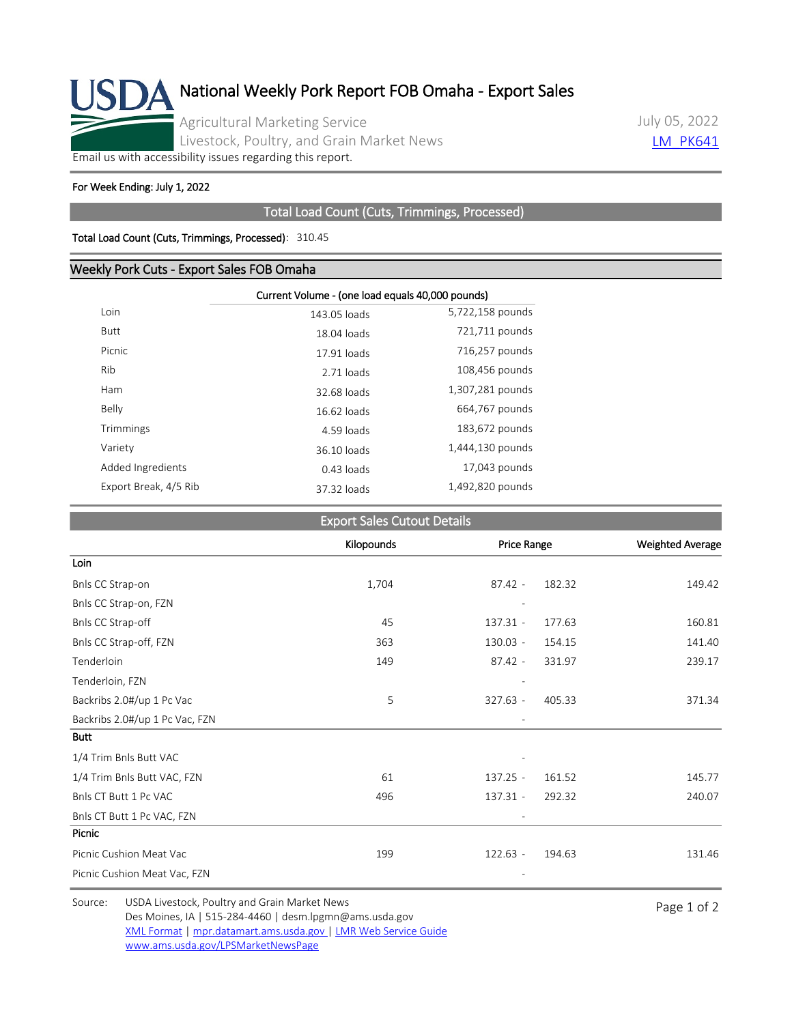

July 05, 2022 **LM PK641** 

[Email us with accessibility issues regarding this report.](mailto:mpr.lpgmn@ams.usda.gov?subject=508%20Issue)

#### For Week Ending: July 1, 2022

## Total Load Count (Cuts, Trimmings, Processed)

### Total Load Count (Cuts, Trimmings, Processed): 310.45

## Weekly Pork Cuts - Export Sales FOB Omaha

|                       | Current Volume - (one load equals 40,000 pounds) |                  |  |
|-----------------------|--------------------------------------------------|------------------|--|
| Loin                  | 143.05 loads                                     | 5,722,158 pounds |  |
| Butt                  | 18.04 loads                                      | 721,711 pounds   |  |
| Picnic                | 17.91 loads                                      | 716,257 pounds   |  |
| Rib                   | 2.71 loads                                       | 108,456 pounds   |  |
| Ham                   | 32.68 loads                                      | 1,307,281 pounds |  |
| Belly                 | 16.62 loads                                      | 664,767 pounds   |  |
| Trimmings             | 4.59 loads                                       | 183,672 pounds   |  |
| Variety               | 36.10 loads                                      | 1,444,130 pounds |  |
| Added Ingredients     | $0.43$ loads                                     | 17,043 pounds    |  |
| Export Break, 4/5 Rib | 37.32 loads                                      | 1,492,820 pounds |  |

| <b>Export Sales Cutout Details</b> |  |
|------------------------------------|--|
|                                    |  |

|                                | Kilopounds | <b>Price Range</b> |        | <b>Weighted Average</b> |
|--------------------------------|------------|--------------------|--------|-------------------------|
| Loin                           |            |                    |        |                         |
| Bnls CC Strap-on               | 1,704      | $87.42 -$          | 182.32 | 149.42                  |
| Bnls CC Strap-on, FZN          |            |                    |        |                         |
| Bnls CC Strap-off              | 45         | $137.31 -$         | 177.63 | 160.81                  |
| Bnls CC Strap-off, FZN         | 363        | $130.03 -$         | 154.15 | 141.40                  |
| Tenderloin                     | 149        | $87.42 -$          | 331.97 | 239.17                  |
| Tenderloin, FZN                |            |                    |        |                         |
| Backribs 2.0#/up 1 Pc Vac      | 5          | $327.63 -$         | 405.33 | 371.34                  |
| Backribs 2.0#/up 1 Pc Vac, FZN |            |                    |        |                         |
| <b>Butt</b>                    |            |                    |        |                         |
| 1/4 Trim Bnls Butt VAC         |            |                    |        |                         |
| 1/4 Trim Bnls Butt VAC, FZN    | 61         | $137.25 -$         | 161.52 | 145.77                  |
| Bnls CT Butt 1 Pc VAC          | 496        | $137.31 -$         | 292.32 | 240.07                  |
| Bnls CT Butt 1 Pc VAC, FZN     |            |                    |        |                         |
| Picnic                         |            |                    |        |                         |
| Picnic Cushion Meat Vac        | 199        | $122.63 -$         | 194.63 | 131.46                  |
| Picnic Cushion Meat Vac, FZN   |            |                    |        |                         |

Source: USDA Livestock, Poultry and Grain Market News<br>
Page 1 of 2 Des Moines, IA | 515-284-4460 | desm.lpgmn@ams.usda.gov [XML Format](https://mpr.datamart.ams.usda.gov/ws/report/v1/pork/LM_PK641?filter=%7B%22filters%22:%5B%7B%22fieldName%22:%22Report%20date%22,%22operatorType%22:%22EQUAL%22,%22values%22:%5B%227/5/2022%22%5D%7D%5D%7D) | [mpr.datamart.ams.usda.gov](https://mpr.datamart.ams.usda.gov/) | [LMR Web Service Guide](https://www.marketnews.usda.gov/mnp/assets/ls/USDA-LMR-WebService-Client-User-Guide-v1_prod.pdf) [www.ams.usda.gov/LPSMarketNewsPage](https://www.ams.usda.gov/LPSMarketNewsPage)